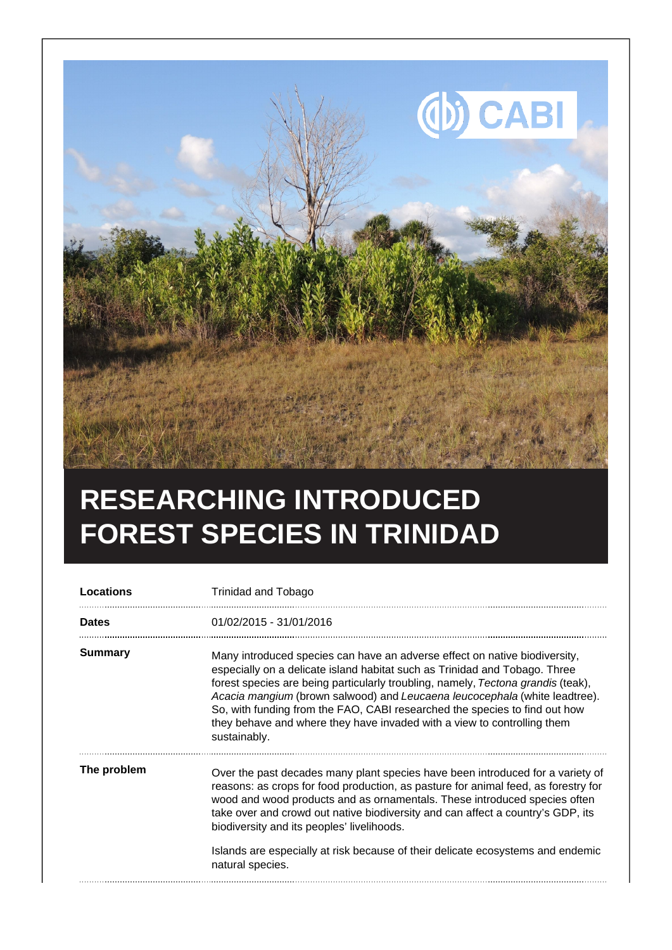

## **RESEARCHING INTRODUCED FOREST SPECIES IN TRINIDAD**

| <b>Locations</b> | <b>Trinidad and Tobago</b>                                                                                                                                                                                                                                                                                                                                                                                                                                                                          |
|------------------|-----------------------------------------------------------------------------------------------------------------------------------------------------------------------------------------------------------------------------------------------------------------------------------------------------------------------------------------------------------------------------------------------------------------------------------------------------------------------------------------------------|
| <b>Dates</b>     | 01/02/2015 - 31/01/2016                                                                                                                                                                                                                                                                                                                                                                                                                                                                             |
| <b>Summary</b>   | Many introduced species can have an adverse effect on native biodiversity,<br>especially on a delicate island habitat such as Trinidad and Tobago. Three<br>forest species are being particularly troubling, namely, Tectona grandis (teak),<br>Acacia mangium (brown salwood) and Leucaena leucocephala (white leadtree).<br>So, with funding from the FAO, CABI researched the species to find out how<br>they behave and where they have invaded with a view to controlling them<br>sustainably. |
| The problem      | Over the past decades many plant species have been introduced for a variety of<br>reasons: as crops for food production, as pasture for animal feed, as forestry for<br>wood and wood products and as ornamentals. These introduced species often<br>take over and crowd out native biodiversity and can affect a country's GDP, its<br>biodiversity and its peoples' livelihoods.<br>Islands are especially at risk because of their delicate ecosystems and endemic<br>natural species.           |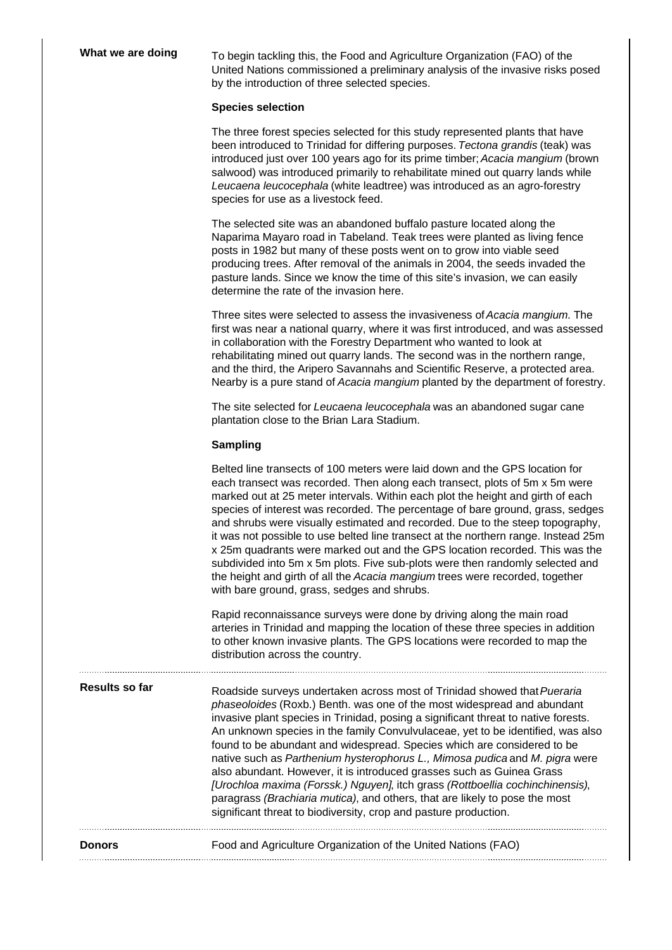**What we are doing** To begin tackling this, the Food and Agriculture Organization (FAO) of the United Nations commissioned a preliminary analysis of the invasive risks posed by the introduction of three selected species.

## **Species selection**

The three forest species selected for this study represented plants that have been introduced to Trinidad for differing purposes. Tectona grandis (teak) was introduced just over 100 years ago for its prime timber; Acacia mangium (brown salwood) was introduced primarily to rehabilitate mined out quarry lands while Leucaena leucocephala (white leadtree) was introduced as an agro-forestry species for use as a livestock feed.

The selected site was an abandoned buffalo pasture located along the Naparima Mayaro road in Tabeland. Teak trees were planted as living fence posts in 1982 but many of these posts went on to grow into viable seed producing trees. After removal of the animals in 2004, the seeds invaded the pasture lands. Since we know the time of this site's invasion, we can easily determine the rate of the invasion here.

Three sites were selected to assess the invasiveness of Acacia mangium. The first was near a national quarry, where it was first introduced, and was assessed in collaboration with the Forestry Department who wanted to look at rehabilitating mined out quarry lands. The second was in the northern range, and the third, the Aripero Savannahs and Scientific Reserve, a protected area. Nearby is a pure stand of Acacia mangium planted by the department of forestry.

The site selected for Leucaena leucocephala was an abandoned sugar cane plantation close to the Brian Lara Stadium.

## **Sampling**

| <b>Donors</b>  | Food and Agriculture Organization of the United Nations (FAO)                                                                                                                                                                                                                                                                                                                                                                                                                                                                                                                                                                                                                                                                                                                                         |
|----------------|-------------------------------------------------------------------------------------------------------------------------------------------------------------------------------------------------------------------------------------------------------------------------------------------------------------------------------------------------------------------------------------------------------------------------------------------------------------------------------------------------------------------------------------------------------------------------------------------------------------------------------------------------------------------------------------------------------------------------------------------------------------------------------------------------------|
| Results so far | Roadside surveys undertaken across most of Trinidad showed that Pueraria<br>phaseoloides (Roxb.) Benth. was one of the most widespread and abundant<br>invasive plant species in Trinidad, posing a significant threat to native forests.<br>An unknown species in the family Convulvulaceae, yet to be identified, was also<br>found to be abundant and widespread. Species which are considered to be<br>native such as Parthenium hysterophorus L., Mimosa pudica and M. pigra were<br>also abundant. However, it is introduced grasses such as Guinea Grass<br>[Urochloa maxima (Forssk.) Nguyen], itch grass (Rottboellia cochinchinensis),<br>paragrass (Brachiaria mutica), and others, that are likely to pose the most<br>significant threat to biodiversity, crop and pasture production.   |
|                | Rapid reconnaissance surveys were done by driving along the main road<br>arteries in Trinidad and mapping the location of these three species in addition<br>to other known invasive plants. The GPS locations were recorded to map the<br>distribution across the country.                                                                                                                                                                                                                                                                                                                                                                                                                                                                                                                           |
|                | Belted line transects of 100 meters were laid down and the GPS location for<br>each transect was recorded. Then along each transect, plots of 5m x 5m were<br>marked out at 25 meter intervals. Within each plot the height and girth of each<br>species of interest was recorded. The percentage of bare ground, grass, sedges<br>and shrubs were visually estimated and recorded. Due to the steep topography,<br>it was not possible to use belted line transect at the northern range. Instead 25m<br>x 25m quadrants were marked out and the GPS location recorded. This was the<br>subdivided into 5m x 5m plots. Five sub-plots were then randomly selected and<br>the height and girth of all the Acacia mangium trees were recorded, together<br>with bare ground, grass, sedges and shrubs. |